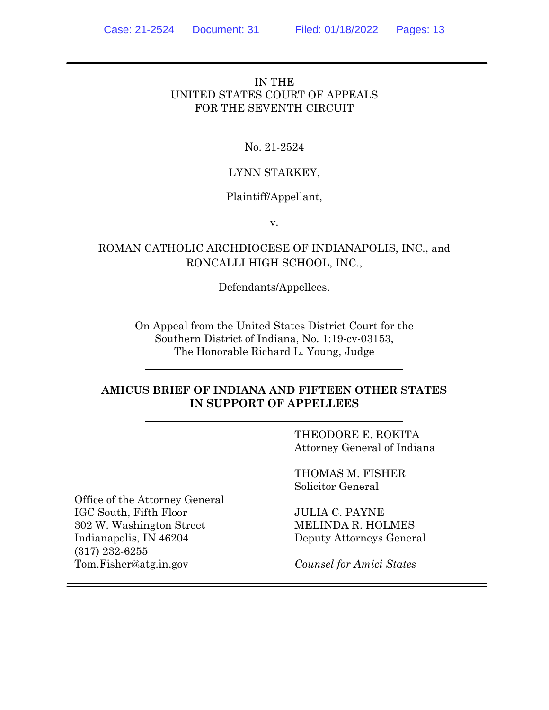### IN THE UNITED STATES COURT OF APPEALS FOR THE SEVENTH CIRCUIT

### No. 21-2524

### LYNN STARKEY,

### Plaintiff/Appellant,

v.

# ROMAN CATHOLIC ARCHDIOCESE OF INDIANAPOLIS, INC., and RONCALLI HIGH SCHOOL, INC.,

Defendants/Appellees.

On Appeal from the United States District Court for the Southern District of Indiana, No. 1:19-cv-03153, The Honorable Richard L. Young, Judge

### **AMICUS BRIEF OF INDIANA AND FIFTEEN OTHER STATES IN SUPPORT OF APPELLEES**

THEODORE E. ROKITA Attorney General of Indiana

THOMAS M. FISHER Solicitor General

JULIA C. PAYNE MELINDA R. HOLMES Deputy Attorneys General

*Counsel for Amici States*

Office of the Attorney General IGC South, Fifth Floor 302 W. Washington Street Indianapolis, IN 46204 (317) 232-6255 Tom.Fisher@atg.in.gov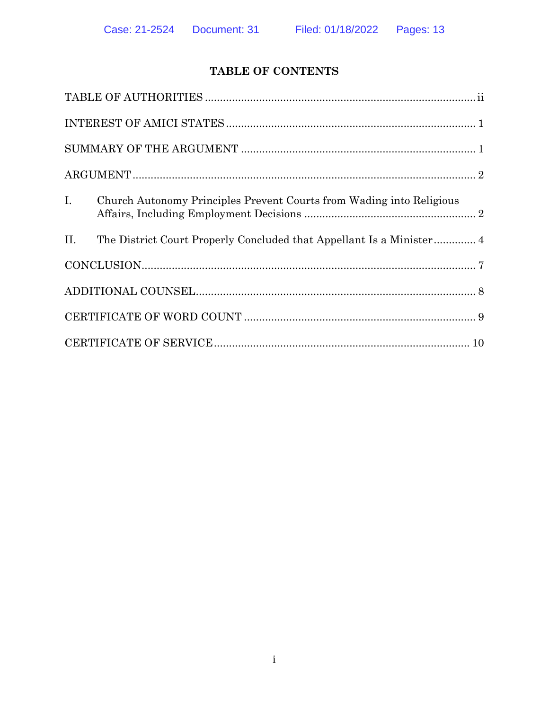# **TABLE OF CONTENTS**

| $\begin{minipage}{.4\linewidth} \textbf{SUMMARY OF THE ARGUMENT} \end{minipage} \begin{minipage}{.4\linewidth} \textbf{1} \end{minipage} \begin{minipage}{.4\linewidth} \textbf{1} \end{minipage} \begin{minipage}{.4\linewidth} \textbf{2} \end{minipage} \begin{minipage}{.4\linewidth} \textbf{3} \end{minipage} \begin{minipage}{.4\linewidth} \textbf{4} \end{minipage} \begin{minipage}{.4\linewidth} \textbf{5} \end{minipage} \begin{minipage}{.4\linewidth} \textbf{5} \end{minipage} \begin{minipage}{.4\linewidth} \textbf$ |
|----------------------------------------------------------------------------------------------------------------------------------------------------------------------------------------------------------------------------------------------------------------------------------------------------------------------------------------------------------------------------------------------------------------------------------------------------------------------------------------------------------------------------------------|
|                                                                                                                                                                                                                                                                                                                                                                                                                                                                                                                                        |
| $I_{\cdot}$<br>Church Autonomy Principles Prevent Courts from Wading into Religious                                                                                                                                                                                                                                                                                                                                                                                                                                                    |
| II.<br>The District Court Properly Concluded that Appellant Is a Minister 4                                                                                                                                                                                                                                                                                                                                                                                                                                                            |
|                                                                                                                                                                                                                                                                                                                                                                                                                                                                                                                                        |
|                                                                                                                                                                                                                                                                                                                                                                                                                                                                                                                                        |
|                                                                                                                                                                                                                                                                                                                                                                                                                                                                                                                                        |
| $\textbf{CERTIFICATE OF SERIES} \vspace{-0.05cm} \begin{minipage}{0.05\textwidth} \centering \begin{tabular}{ c c c c c } \hline \multicolumn{1}{ c }{\textbf{CERTIFICATE OF SERIES}} & \multicolumn{1}{ c }{\textbf{D}}\\ \hline \multicolumn{1}{ c }{\textbf{D}} & \multicolumn{1}{ c }{\textbf{D}}\\ \hline \multicolumn{1}{ c }{\textbf{D}} & \multicolumn{1}{ c }{\textbf{D}}\\ \hline \multicolumn{1}{ c }{\textbf{D}} & \multicolumn{1}{ c }{\textbf{D}}\\ \h$                                                                  |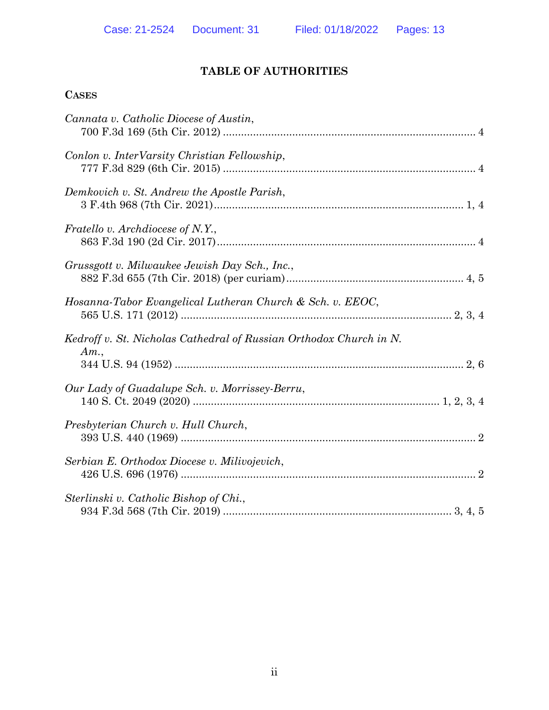# **TABLE OF AUTHORITIES**

# **CASES**

| Cannata v. Catholic Diocese of Austin,                                    |
|---------------------------------------------------------------------------|
| Conlon v. InterVarsity Christian Fellowship,                              |
| Demkovich v. St. Andrew the Apostle Parish,                               |
| <i>Fratello v. Archdiocese of N.Y.</i> ,                                  |
| Grussgott v. Milwaukee Jewish Day Sch., Inc.,                             |
| Hosanna-Tabor Evangelical Lutheran Church & Sch. v. EEOC,                 |
| Kedroff v. St. Nicholas Cathedral of Russian Orthodox Church in N.<br>Am. |
| Our Lady of Guadalupe Sch. v. Morrissey-Berru,                            |
| Presbyterian Church v. Hull Church,                                       |
| Serbian E. Orthodox Diocese v. Milivojevich,                              |
| Sterlinski v. Catholic Bishop of Chi.,                                    |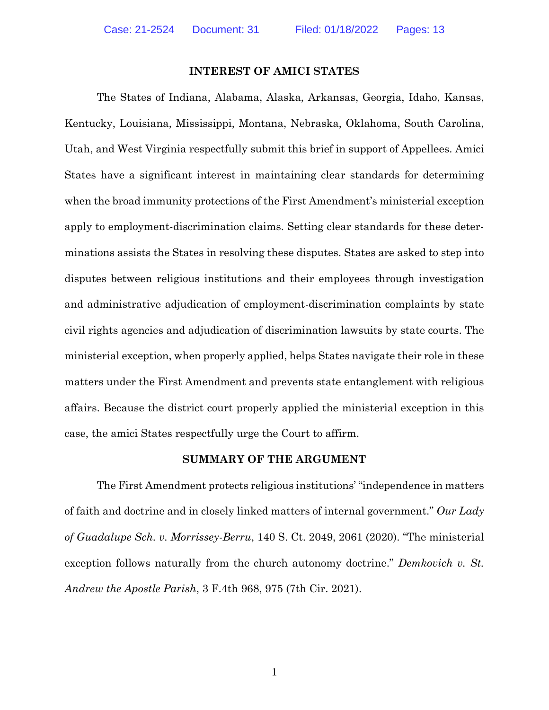#### **INTEREST OF AMICI STATES**

The States of Indiana, Alabama, Alaska, Arkansas, Georgia, Idaho, Kansas, Kentucky, Louisiana, Mississippi, Montana, Nebraska, Oklahoma, South Carolina, Utah, and West Virginia respectfully submit this brief in support of Appellees. Amici States have a significant interest in maintaining clear standards for determining when the broad immunity protections of the First Amendment's ministerial exception apply to employment-discrimination claims. Setting clear standards for these determinations assists the States in resolving these disputes. States are asked to step into disputes between religious institutions and their employees through investigation and administrative adjudication of employment-discrimination complaints by state civil rights agencies and adjudication of discrimination lawsuits by state courts. The ministerial exception, when properly applied, helps States navigate their role in these matters under the First Amendment and prevents state entanglement with religious affairs. Because the district court properly applied the ministerial exception in this case, the amici States respectfully urge the Court to affirm.

#### <span id="page-3-1"></span><span id="page-3-0"></span>**SUMMARY OF THE ARGUMENT**

The First Amendment protects religious institutions' "independence in matters of faith and doctrine and in closely linked matters of internal government." *Our Lady of Guadalupe Sch. v. Morrissey-Berru*, 140 S. Ct. 2049, 2061 (2020). "The ministerial exception follows naturally from the church autonomy doctrine." *Demkovich v. St. Andrew the Apostle Parish*, 3 F.4th 968, 975 (7th Cir. 2021).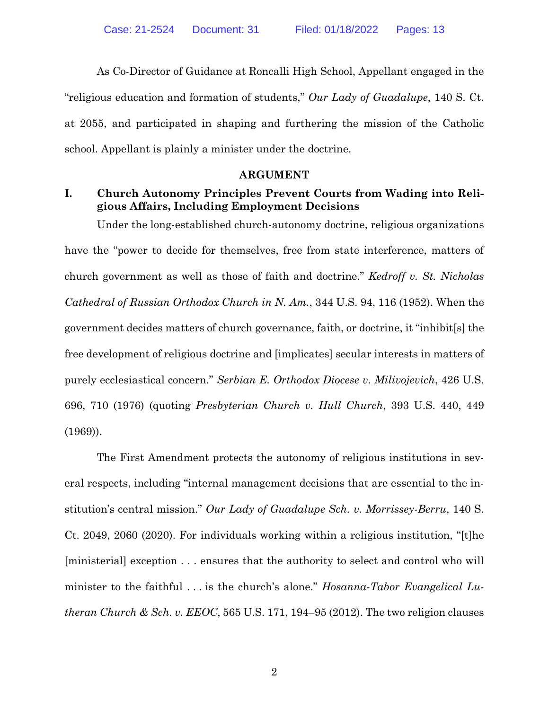As Co-Director of Guidance at Roncalli High School, Appellant engaged in the "religious education and formation of students," *Our Lady of Guadalupe*, 140 S. Ct. at 2055, and participated in shaping and furthering the mission of the Catholic school. Appellant is plainly a minister under the doctrine.

#### <span id="page-4-2"></span><span id="page-4-1"></span>**ARGUMENT**

### **I. Church Autonomy Principles Prevent Courts from Wading into Religious Affairs, Including Employment Decisions**

Under the long-established church-autonomy doctrine, religious organizations have the "power to decide for themselves, free from state interference, matters of church government as well as those of faith and doctrine." *Kedroff v. St. Nicholas Cathedral of Russian Orthodox Church in N. Am.*, 344 U.S. 94, 116 (1952). When the government decides matters of church governance, faith, or doctrine, it "inhibit[s] the free development of religious doctrine and [implicates] secular interests in matters of purely ecclesiastical concern." *Serbian E. Orthodox Diocese v. Milivojevich*, 426 U.S. 696, 710 (1976) (quoting *Presbyterian Church v. Hull Church*, 393 U.S. 440, 449 (1969)).

<span id="page-4-4"></span><span id="page-4-3"></span><span id="page-4-0"></span>The First Amendment protects the autonomy of religious institutions in several respects, including "internal management decisions that are essential to the institution's central mission." *Our Lady of Guadalupe Sch. v. Morrissey-Berru*, 140 S. Ct. 2049, 2060 (2020). For individuals working within a religious institution, "[t]he [ministerial] exception . . . ensures that the authority to select and control who will minister to the faithful . . . is the church's alone." *Hosanna-Tabor Evangelical Lutheran Church & Sch. v. EEOC*, 565 U.S. 171, 194–95 (2012). The two religion clauses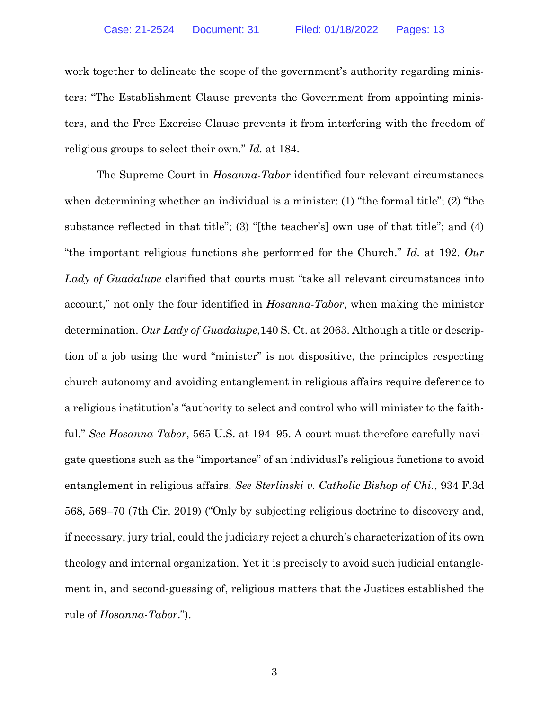work together to delineate the scope of the government's authority regarding ministers: "The Establishment Clause prevents the Government from appointing ministers, and the Free Exercise Clause prevents it from interfering with the freedom of religious groups to select their own." *Id.* at 184.

<span id="page-5-2"></span><span id="page-5-1"></span><span id="page-5-0"></span>The Supreme Court in *Hosanna-Tabor* identified four relevant circumstances when determining whether an individual is a minister: (1) "the formal title"; (2) "the substance reflected in that title"; (3) "[the teacher's] own use of that title"; and (4) "the important religious functions she performed for the Church." *Id.* at 192. *Our Lady of Guadalupe* clarified that courts must "take all relevant circumstances into account," not only the four identified in *Hosanna-Tabor*, when making the minister determination. *Our Lady of Guadalupe*,140 S. Ct. at 2063. Although a title or description of a job using the word "minister" is not dispositive, the principles respecting church autonomy and avoiding entanglement in religious affairs require deference to a religious institution's "authority to select and control who will minister to the faithful." *See Hosanna-Tabor*, 565 U.S. at 194–95. A court must therefore carefully navigate questions such as the "importance" of an individual's religious functions to avoid entanglement in religious affairs. *See Sterlinski v. Catholic Bishop of Chi.*, 934 F.3d 568, 569–70 (7th Cir. 2019) ("Only by subjecting religious doctrine to discovery and, if necessary, jury trial, could the judiciary reject a church's characterization of its own theology and internal organization. Yet it is precisely to avoid such judicial entanglement in, and second-guessing of, religious matters that the Justices established the rule of *Hosanna-Tabor*.").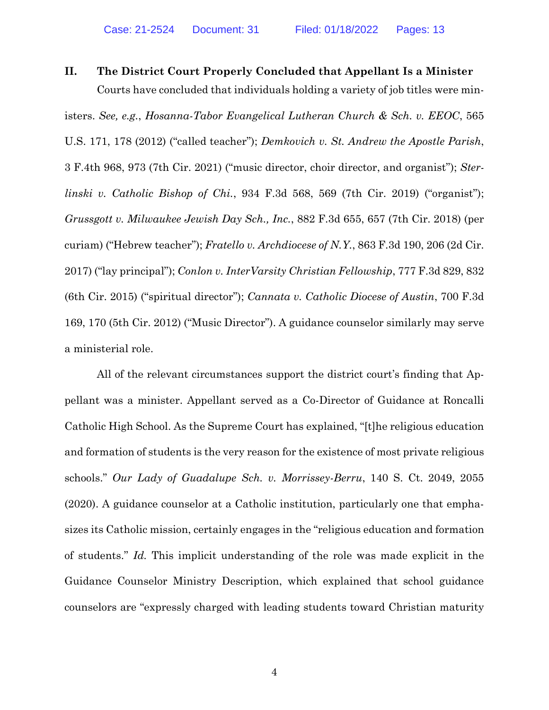## **II. The District Court Properly Concluded that Appellant Is a Minister**

<span id="page-6-7"></span><span id="page-6-5"></span><span id="page-6-4"></span><span id="page-6-2"></span><span id="page-6-0"></span>Courts have concluded that individuals holding a variety of job titles were ministers. *See, e.g.*, *Hosanna-Tabor Evangelical Lutheran Church & Sch. v. EEOC*, 565 U.S. 171, 178 (2012) ("called teacher"); *Demkovich v. St. Andrew the Apostle Parish*, 3 F.4th 968, 973 (7th Cir. 2021) ("music director, choir director, and organist"); *Sterlinski v. Catholic Bishop of Chi.*, 934 F.3d 568, 569 (7th Cir. 2019) ("organist"); *Grussgott v. Milwaukee Jewish Day Sch., Inc.*, 882 F.3d 655, 657 (7th Cir. 2018) (per curiam) ("Hebrew teacher"); *Fratello v. Archdiocese of N.Y.*, 863 F.3d 190, 206 (2d Cir. 2017) ("lay principal"); *Conlon v. InterVarsity Christian Fellowship*, 777 F.3d 829, 832 (6th Cir. 2015) ("spiritual director"); *Cannata v. Catholic Diocese of Austin*, 700 F.3d 169, 170 (5th Cir. 2012) ("Music Director"). A guidance counselor similarly may serve a ministerial role.

<span id="page-6-6"></span><span id="page-6-3"></span><span id="page-6-1"></span>All of the relevant circumstances support the district court's finding that Appellant was a minister. Appellant served as a Co-Director of Guidance at Roncalli Catholic High School. As the Supreme Court has explained, "[t]he religious education and formation of students is the very reason for the existence of most private religious schools." *Our Lady of Guadalupe Sch. v. Morrissey-Berru*, 140 S. Ct. 2049, 2055 (2020). A guidance counselor at a Catholic institution, particularly one that emphasizes its Catholic mission, certainly engages in the "religious education and formation of students." *Id.* This implicit understanding of the role was made explicit in the Guidance Counselor Ministry Description, which explained that school guidance counselors are "expressly charged with leading students toward Christian maturity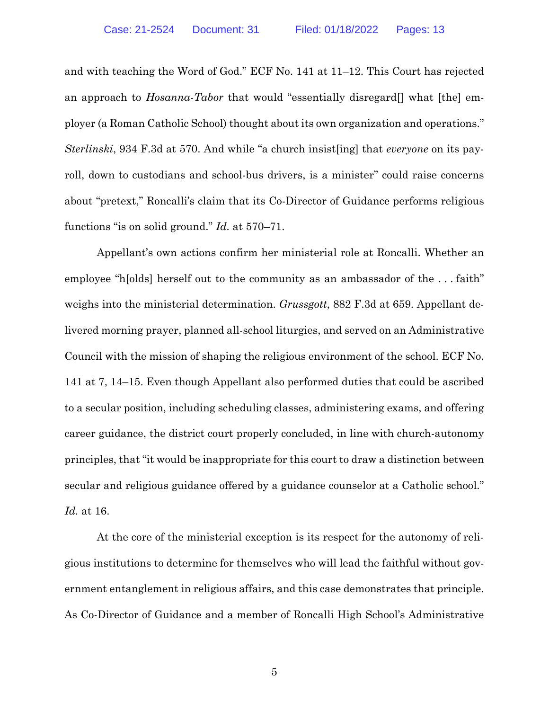<span id="page-7-1"></span>and with teaching the Word of God." ECF No. 141 at 11–12. This Court has rejected an approach to *Hosanna-Tabor* that would "essentially disregard[] what [the] employer (a Roman Catholic School) thought about its own organization and operations." *Sterlinski*, 934 F.3d at 570. And while "a church insist[ing] that *everyone* on its payroll, down to custodians and school-bus drivers, is a minister" could raise concerns about "pretext," Roncalli's claim that its Co-Director of Guidance performs religious functions "is on solid ground." *Id.* at 570–71.

<span id="page-7-0"></span>Appellant's own actions confirm her ministerial role at Roncalli. Whether an employee "h[olds] herself out to the community as an ambassador of the . . . faith" weighs into the ministerial determination. *Grussgott*, 882 F.3d at 659. Appellant delivered morning prayer, planned all-school liturgies, and served on an Administrative Council with the mission of shaping the religious environment of the school. ECF No. 141 at 7, 14–15. Even though Appellant also performed duties that could be ascribed to a secular position, including scheduling classes, administering exams, and offering career guidance, the district court properly concluded, in line with church-autonomy principles, that "it would be inappropriate for this court to draw a distinction between secular and religious guidance offered by a guidance counselor at a Catholic school." *Id.* at 16.

At the core of the ministerial exception is its respect for the autonomy of religious institutions to determine for themselves who will lead the faithful without government entanglement in religious affairs, and this case demonstrates that principle. As Co-Director of Guidance and a member of Roncalli High School's Administrative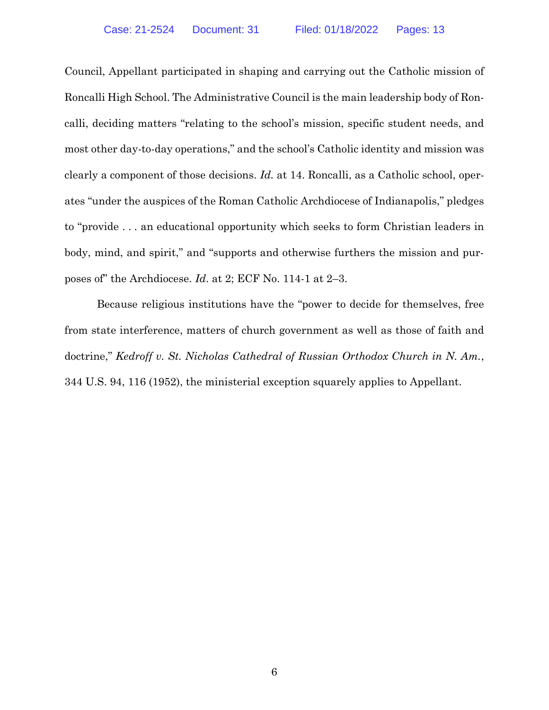Council, Appellant participated in shaping and carrying out the Catholic mission of Roncalli High School. The Administrative Council is the main leadership body of Roncalli, deciding matters "relating to the school's mission, specific student needs, and most other day-to-day operations," and the school's Catholic identity and mission was clearly a component of those decisions. *Id.* at 14. Roncalli, as a Catholic school, operates "under the auspices of the Roman Catholic Archdiocese of Indianapolis," pledges to "provide . . . an educational opportunity which seeks to form Christian leaders in body, mind, and spirit," and "supports and otherwise furthers the mission and purposes of" the Archdiocese. *Id*. at 2; ECF No. 114-1 at 2–3.

<span id="page-8-0"></span>Because religious institutions have the "power to decide for themselves, free from state interference, matters of church government as well as those of faith and doctrine," *Kedroff v. St. Nicholas Cathedral of Russian Orthodox Church in N. Am.*, 344 U.S. 94, 116 (1952), the ministerial exception squarely applies to Appellant.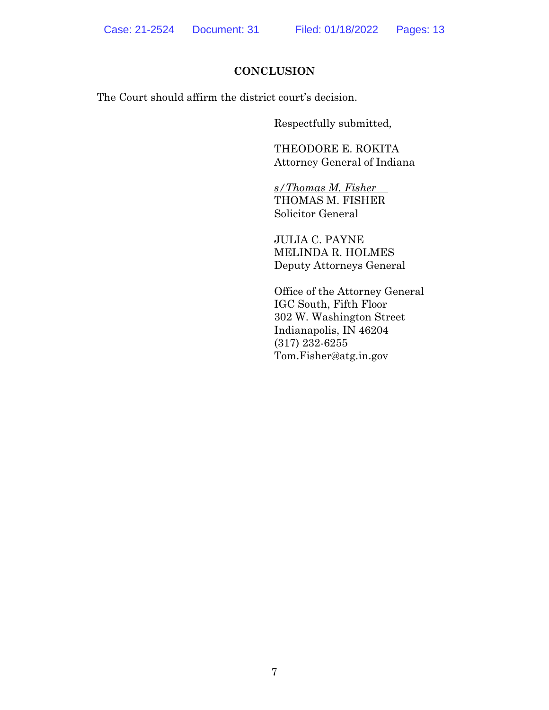### **CONCLUSION**

The Court should affirm the district court's decision.

Respectfully submitted,

THEODORE E. ROKITA Attorney General of Indiana

*s/Thomas M. Fisher* THOMAS M. FISHER Solicitor General

JULIA C. PAYNE MELINDA R. HOLMES Deputy Attorneys General

Office of the Attorney General IGC South, Fifth Floor 302 W. Washington Street Indianapolis, IN 46204 (317) 232-6255 Tom.Fisher@atg.in.gov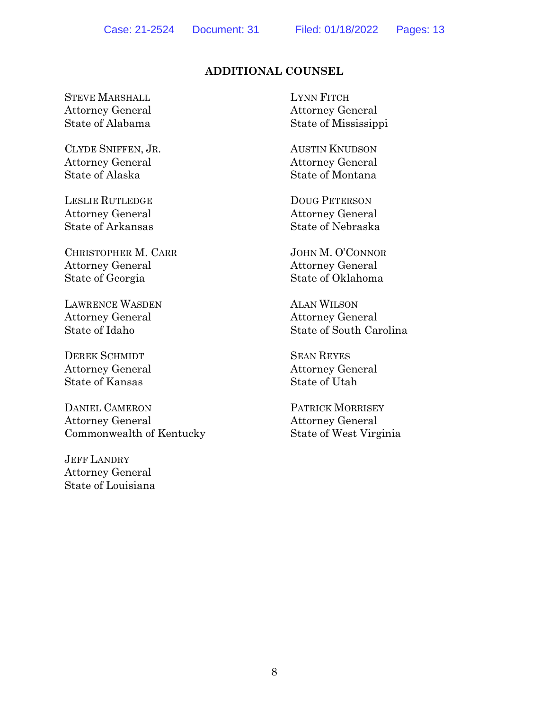# **ADDITIONAL COUNSEL**

STEVE MARSHALL Attorney General State of Alabama

CLYDE SNIFFEN, JR. Attorney General State of Alaska

LESLIE RUTLEDGE Attorney General State of Arkansas

CHRISTOPHER M. CARR Attorney General State of Georgia

LAWRENCE WASDEN Attorney General State of Idaho

DEREK SCHMIDT Attorney General State of Kansas

DANIEL CAMERON Attorney General Commonwealth of Kentucky

JEFF LANDRY Attorney General State of Louisiana LYNN FITCH Attorney General State of Mississippi

AUSTIN KNUDSON Attorney General State of Montana

DOUG PETERSON Attorney General State of Nebraska

JOHN M. O'CONNOR Attorney General State of Oklahoma

ALAN WILSON Attorney General State of South Carolina

SEAN REYES Attorney General State of Utah

PATRICK MORRISEY Attorney General State of West Virginia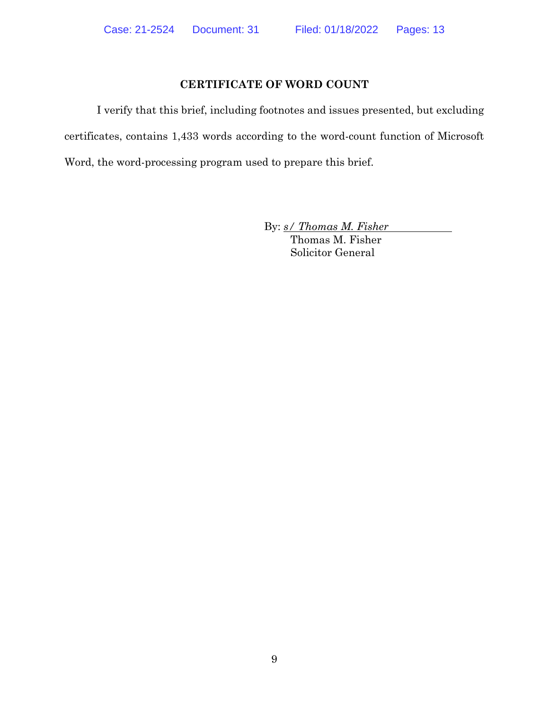### **CERTIFICATE OF WORD COUNT**

I verify that this brief, including footnotes and issues presented, but excluding certificates, contains 1,433 words according to the word-count function of Microsoft Word, the word-processing program used to prepare this brief.

By: *s/ Thomas M. Fisher*

Thomas M. Fisher Solicitor General